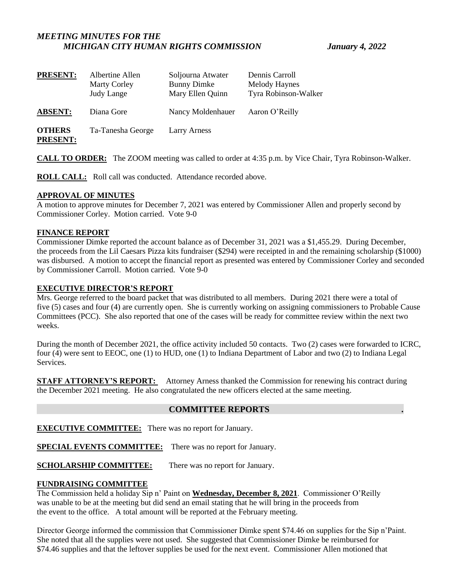# *MEETING MINUTES FOR THE MICHIGAN CITY HUMAN RIGHTS COMMISSION January 4, 2022*

| <b>PRESENT:</b>                  | Albertine Allen<br><b>Marty Corley</b><br><b>Judy Lange</b> | Soljourna Atwater<br><b>Bunny Dimke</b><br>Mary Ellen Quinn | Dennis Carroll<br>Melody Haynes<br>Tyra Robinson-Walker |
|----------------------------------|-------------------------------------------------------------|-------------------------------------------------------------|---------------------------------------------------------|
| <b>ABSENT:</b>                   | Diana Gore                                                  | Nancy Moldenhauer                                           | Aaron O'Reilly                                          |
| <b>OTHERS</b><br><b>PRESENT:</b> | Ta-Tanesha George                                           | <b>Larry Arness</b>                                         |                                                         |

**CALL TO ORDER:** The ZOOM meeting was called to order at 4:35 p.m. by Vice Chair, Tyra Robinson-Walker.

**ROLL CALL:** Roll call was conducted. Attendance recorded above.

# **APPROVAL OF MINUTES**

A motion to approve minutes for December 7, 2021 was entered by Commissioner Allen and properly second by Commissioner Corley. Motion carried. Vote 9-0

# **FINANCE REPORT**

Commissioner Dimke reported the account balance as of December 31, 2021 was a \$1,455.29. During December, the proceeds from the Lil Caesars Pizza kits fundraiser (\$294) were receipted in and the remaining scholarship (\$1000) was disbursed. A motion to accept the financial report as presented was entered by Commissioner Corley and seconded by Commissioner Carroll. Motion carried. Vote 9-0

# **EXECUTIVE DIRECTOR'S REPORT**

Mrs. George referred to the board packet that was distributed to all members. During 2021 there were a total of five (5) cases and four (4) are currently open. She is currently working on assigning commissioners to Probable Cause Committees (PCC). She also reported that one of the cases will be ready for committee review within the next two weeks.

During the month of December 2021, the office activity included 50 contacts. Two (2) cases were forwarded to ICRC, four (4) were sent to EEOC, one (1) to HUD, one (1) to Indiana Department of Labor and two (2) to Indiana Legal Services.

**STAFF ATTORNEY'S REPORT:** Attorney Arness thanked the Commission for renewing his contract during the December 2021 meeting. He also congratulated the new officers elected at the same meeting.

# **COMMITTEE REPORTS .**

**EXECUTIVE COMMITTEE:** There was no report for January.

**SPECIAL EVENTS COMMITTEE:** There was no report for January.

**SCHOLARSHIP COMMITTEE:** There was no report for January.

# **FUNDRAISING COMMITTEE**

The Commission held a holiday Sip n' Paint on **Wednesday, December 8, 2021**. Commissioner O'Reilly was unable to be at the meeting but did send an email stating that he will bring in the proceeds from the event to the office. A total amount will be reported at the February meeting.

Director George informed the commission that Commissioner Dimke spent \$74.46 on supplies for the Sip n'Paint. She noted that all the supplies were not used. She suggested that Commissioner Dimke be reimbursed for \$74.46 supplies and that the leftover supplies be used for the next event. Commissioner Allen motioned that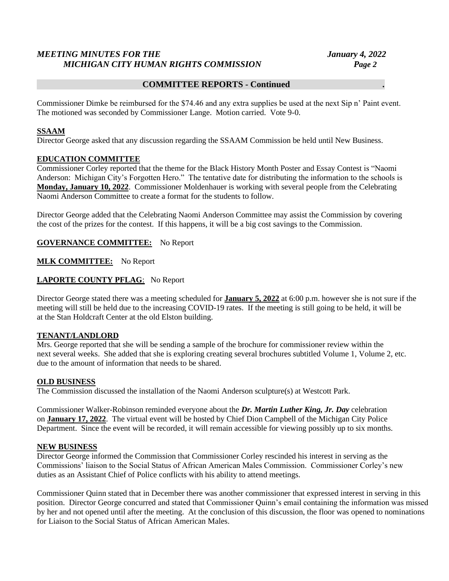# *MEETING MINUTES FOR THE January 4, 2022 MICHIGAN CITY HUMAN RIGHTS COMMISSION Page 2*

## **COMMITTEE REPORTS - Continued .**

Commissioner Dimke be reimbursed for the \$74.46 and any extra supplies be used at the next Sip n' Paint event. The motioned was seconded by Commissioner Lange. Motion carried. Vote 9-0.

### **SSAAM**

Director George asked that any discussion regarding the SSAAM Commission be held until New Business.

### **EDUCATION COMMITTEE**

Commissioner Corley reported that the theme for the Black History Month Poster and Essay Contest is "Naomi Anderson: Michigan City's Forgotten Hero." The tentative date for distributing the information to the schools is **Monday, January 10, 2022**. Commissioner Moldenhauer is working with several people from the Celebrating Naomi Anderson Committee to create a format for the students to follow.

Director George added that the Celebrating Naomi Anderson Committee may assist the Commission by covering the cost of the prizes for the contest. If this happens, it will be a big cost savings to the Commission.

**GOVERNANCE COMMITTEE:** No Report

# **MLK COMMITTEE:** No Report

# **LAPORTE COUNTY PFLAG**: No Report

Director George stated there was a meeting scheduled for **January 5, 2022** at 6:00 p.m. however she is not sure if the meeting will still be held due to the increasing COVID-19 rates. If the meeting is still going to be held, it will be at the Stan Holdcraft Center at the old Elston building.

### **TENANT/LANDLORD**

Mrs. George reported that she will be sending a sample of the brochure for commissioner review within the next several weeks. She added that she is exploring creating several brochures subtitled Volume 1, Volume 2, etc. due to the amount of information that needs to be shared.

### **OLD BUSINESS**

The Commission discussed the installation of the Naomi Anderson sculpture(s) at Westcott Park.

Commissioner Walker-Robinson reminded everyone about the *Dr. Martin Luther King, Jr. Day* celebration on **January 17, 2022**. The virtual event will be hosted by Chief Dion Campbell of the Michigan City Police Department. Since the event will be recorded, it will remain accessible for viewing possibly up to six months.

### **NEW BUSINESS**

Director George informed the Commission that Commissioner Corley rescinded his interest in serving as the Commissions' liaison to the Social Status of African American Males Commission. Commissioner Corley's new duties as an Assistant Chief of Police conflicts with his ability to attend meetings.

Commissioner Quinn stated that in December there was another commissioner that expressed interest in serving in this position. Director George concurred and stated that Commissioner Quinn's email containing the information was missed by her and not opened until after the meeting. At the conclusion of this discussion, the floor was opened to nominations for Liaison to the Social Status of African American Males.